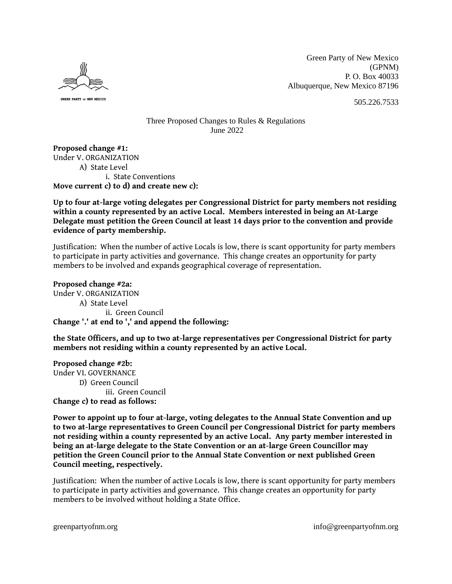

GREEN PARTY OF NEW MEXICO

Green Party of New Mexico (GPNM) P. O. Box 40033 Albuquerque, New Mexico 87196

505.226.7533

## Three Proposed Changes to Rules & Regulations June 2022

**Proposed change #1:** Under V. ORGANIZATION A) State Level i. State Conventions **Move current c) to d) and create new c):**

**Up to four at-large voting delegates per Congressional District for party members not residing within a county represented by an active Local. Members interested in being an At-Large Delegate must petition the Green Council at least 14 days prior to the convention and provide evidence of party membership.**

Justification: When the number of active Locals is low, there is scant opportunity for party members to participate in party activities and governance. This change creates an opportunity for party members to be involved and expands geographical coverage of representation.

**Proposed change #2a:** Under V. ORGANIZATION A) State Level ii. Green Council **Change '.' at end to ',' and append the following:**

**the State Officers, and up to two at-large representatives per Congressional District for party members not residing within a county represented by an active Local.**

**Proposed change #2b:** Under VI. GOVERNANCE D) Green Council iii. Green Council **Change c) to read as follows:**

**Power to appoint up to four at-large, voting delegates to the Annual State Convention and up to two at-large representatives to Green Council per Congressional District for party members not residing within a county represented by an active Local. Any party member interested in being an at-large delegate to the State Convention or an at-large Green Councillor may petition the Green Council prior to the Annual State Convention or next published Green Council meeting, respectively.**

Justification: When the number of active Locals is low, there is scant opportunity for party members to participate in party activities and governance. This change creates an opportunity for party members to be involved without holding a State Office.

greenpartyofnm.org info@greenpartyofnm.org